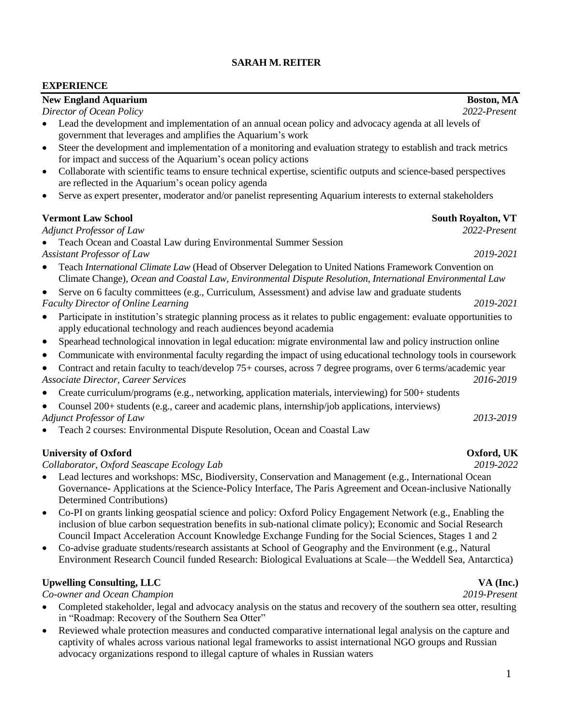### **SARAH M. REITER**

### **EXPERIENCE**

## **New England Aquarium Boston, MA** *Director of Ocean Policy 2022-Present* • Lead the development and implementation of an annual ocean policy and advocacy agenda at all levels of government that leverages and amplifies the Aquarium's work • Steer the development and implementation of a monitoring and evaluation strategy to establish and track metrics for impact and success of the Aquarium's ocean policy actions • Collaborate with scientific teams to ensure technical expertise, scientific outputs and science-based perspectives are reflected in the Aquarium's ocean policy agenda • Serve as expert presenter, moderator and/or panelist representing Aquarium interests to external stakeholders **Vermont** Law School South **Royalton, VT** *Adjunct Professor of Law 2022-Present* • Teach Ocean and Coastal Law during Environmental Summer Session *Assistant Professor of Law 2019-2021* • Teach *International Climate Law* (Head of Observer Delegation to United Nations Framework Convention on Climate Change), *Ocean and Coastal Law*, *Environmental Dispute Resolution*, *International Environmental Law* Serve on 6 faculty committees (e.g., Curriculum, Assessment) and advise law and graduate students *Faculty Director of Online Learning 2019-2021* • Participate in institution's strategic planning process as it relates to public engagement: evaluate opportunities to apply educational technology and reach audiences beyond academia • Spearhead technological innovation in legal education: migrate environmental law and policy instruction online • Communicate with environmental faculty regarding the impact of using educational technology tools in coursework • Contract and retain faculty to teach/develop 75+ courses, across 7 degree programs, over 6 terms/academic year *Associate Director, Career Services 2016-2019* • Create curriculum/programs (e.g., networking, application materials, interviewing) for 500+ students • Counsel 200+ students (e.g., career and academic plans, internship/job applications, interviews) *Adjunct Professor of Law 2013-2019* • Teach 2 courses: Environmental Dispute Resolution, Ocean and Coastal Law **University of Oxford Oxford, UK** *Collaborator, Oxford Seascape Ecology Lab 2019-2022*

- Lead lectures and workshops: MSc, Biodiversity, Conservation and Management (e.g., International Ocean Governance- Applications at the Science-Policy Interface, The Paris Agreement and Ocean-inclusive Nationally Determined Contributions)
- Co-PI on grants linking geospatial science and policy: Oxford Policy Engagement Network (e.g., Enabling the inclusion of blue carbon sequestration benefits in sub-national climate policy); Economic and Social Research Council Impact Acceleration Account Knowledge Exchange Funding for the Social Sciences, Stages 1 and 2
- Co-advise graduate students/research assistants at School of Geography and the Environment (e.g., Natural Environment Research Council funded Research: Biological Evaluations at Scale—the Weddell Sea, Antarctica)

# Upwelling Consulting, LLC **VA (Inc.)**

## *Co-owner and Ocean Champion 2019-Present*

- Completed stakeholder, legal and advocacy analysis on the status and recovery of the southern sea otter, resulting in "Roadmap: Recovery of the Southern Sea Otter"
- Reviewed whale protection measures and conducted comparative international legal analysis on the capture and captivity of whales across various national legal frameworks to assist international NGO groups and Russian advocacy organizations respond to illegal capture of whales in Russian waters

- 
-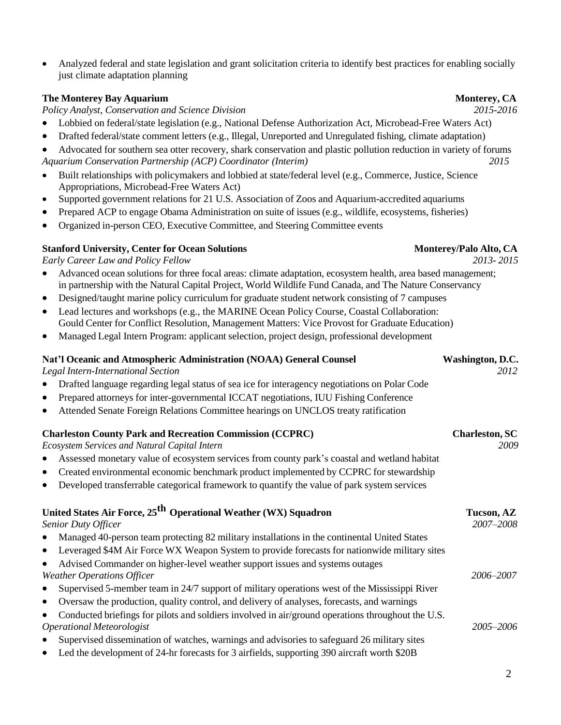• Analyzed federal and state legislation and grant solicitation criteria to identify best practices for enabling socially just climate adaptation planning

### **The Monterey Bay Aquarium Monterey, CA**

*Policy Analyst, Conservation and Science Division 2015-2016*

- Lobbied on federal/state legislation (e.g., National Defense Authorization Act, Microbead-Free Waters Act)
- Drafted federal/state comment letters (e.g., Illegal, Unreported and Unregulated fishing, climate adaptation)

• Advocated for southern sea otter recovery, shark conservation and plastic pollution reduction in variety of forums *Aquarium Conservation Partnership (ACP) Coordinator (Interim) 2015*

- Built relationships with policymakers and lobbied at state/federal level (e.g., Commerce, Justice, Science Appropriations, Microbead-Free Waters Act)
- Supported government relations for 21 U.S. Association of Zoos and Aquarium-accredited aquariums
- Prepared ACP to engage Obama Administration on suite of issues (e.g., wildlife, ecosystems, fisheries)
- Organized in-person CEO, Executive Committee, and Steering Committee events

### **Stanford University, Center for Ocean Solutions Monterey/Palo Alto, CA**

*Early Career Law and Policy Fellow 2013- 2015*

- Advanced ocean solutions for three focal areas: climate adaptation, ecosystem health, area based management; in partnership with the Natural Capital Project, World Wildlife Fund Canada, and The Nature Conservancy
- Designed/taught marine policy curriculum for graduate student network consisting of 7 campuses
- Lead lectures and workshops (e.g., the MARINE Ocean Policy Course, Coastal Collaboration: Gould Center for Conflict Resolution, Management Matters: Vice Provost for Graduate Education)
- Managed Legal Intern Program: applicant selection, project design, professional development

### **Nat'l Oceanic and Atmospheric Administration (NOAA) General Counsel Washington, D.C.**

*Legal Intern-International Section 2012*

- Drafted language regarding legal status of sea ice for interagency negotiations on Polar Code
- Prepared attorneys for inter-governmental ICCAT negotiations, IUU Fishing Conference
- Attended Senate Foreign Relations Committee hearings on UNCLOS treaty ratification

| <b>Charleston County Park and Recreation Commission (CCPRC)</b>                                                                                                                                                          | <b>Charleston, SC</b>   |
|--------------------------------------------------------------------------------------------------------------------------------------------------------------------------------------------------------------------------|-------------------------|
| <b>Ecosystem Services and Natural Capital Intern</b>                                                                                                                                                                     | 2009                    |
| Assessed monetary value of ecosystem services from county park's coastal and wetland habitat<br>$\bullet$                                                                                                                |                         |
| Created environmental economic benchmark product implemented by CCPRC for stewardship<br>$\bullet$                                                                                                                       |                         |
| Developed transferrable categorical framework to quantify the value of park system services<br>$\bullet$                                                                                                                 |                         |
| United States Air Force, 25 <sup>th</sup> Operational Weather (WX) Squadron<br><b>Senior Duty Officer</b>                                                                                                                | Tucson, AZ<br>2007-2008 |
| Managed 40-person team protecting 82 military installations in the continental United States<br>$\bullet$                                                                                                                |                         |
| Leveraged \$4M Air Force WX Weapon System to provide forecasts for nationwide military sites<br>$\bullet$                                                                                                                |                         |
| Advised Commander on higher-level weather support issues and systems outages<br>$\bullet$                                                                                                                                |                         |
| <b>Weather Operations Officer</b>                                                                                                                                                                                        | 2006–2007               |
| Supervised 5-member team in 24/7 support of military operations west of the Mississippi River<br>$\bullet$                                                                                                               |                         |
| Oversaw the production, quality control, and delivery of analyses, forecasts, and warnings<br>$\bullet$                                                                                                                  |                         |
| Conducted briefings for pilots and soldiers involved in air/ground operations throughout the U.S.<br>$\bullet$                                                                                                           |                         |
| <b>Operational Meteorologist</b>                                                                                                                                                                                         | 2005-2006               |
| Supervised dissemination of watches, warnings and advisories to safeguard 26 military sites<br>$\bullet$                                                                                                                 |                         |
| $\mathbf{I}$ and $\mathbf{A}$ are $\mathbf{A}$ and $\mathbf{A}$ and $\mathbf{A}$ are $\mathbf{A}$ and $\mathbf{A}$ are $\mathbf{A}$ and $\mathbf{A}$ and $\mathbf{A}$ are $\mathbf{A}$ and $\mathbf{A}$ and $\mathbf{A}$ |                         |

• Led the development of 24-hr forecasts for 3 airfields, supporting 390 aircraft worth \$20B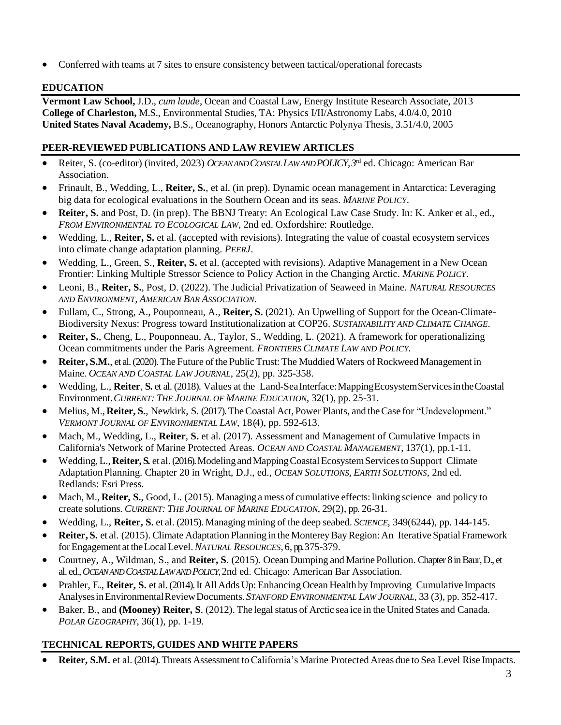• Conferred with teams at 7 sites to ensure consistency between tactical/operational forecasts

## **EDUCATION**

**Vermont Law School,** J.D., *cum laude*, Ocean and Coastal Law, Energy Institute Research Associate, 2013 **College of Charleston,** M.S., Environmental Studies, TA: Physics I/II/Astronomy Labs, 4.0/4.0, 2010 **United States Naval Academy,** B.S., Oceanography, Honors Antarctic Polynya Thesis, 3.51/4.0, 2005

## **PEER-REVIEWED PUBLICATIONS AND LAW REVIEW ARTICLES**

- Reiter, S. (co-editor) (invited, 2023) *OCEAN AND COASTAL LAW AND POLICY,3* rd ed. Chicago: American Bar Association.
- Frinault, B., Wedding, L., **Reiter, S.**, et al. (in prep). Dynamic ocean management in Antarctica: Leveraging big data for ecological evaluations in the Southern Ocean and its seas. *MARINE POLICY*.
- **Reiter, S.** and Post, D. (in prep). The BBNJ Treaty: An Ecological Law Case Study. In: K. Anker et al., ed., *FROM ENVIRONMENTAL TO ECOLOGICAL LAW*, 2nd ed. Oxfordshire: Routledge.
- Wedding, L., **Reiter, S.** et al. (accepted with revisions). Integrating the value of coastal ecosystem services into climate change adaptation planning. *PEERJ*.
- Wedding, L., Green, S., **Reiter, S.** et al. (accepted with revisions). Adaptive Management in a New Ocean Frontier: Linking Multiple Stressor Science to Policy Action in the Changing Arctic. *MARINE POLICY*.
- Leoni, B., **Reiter, S.**, Post, D. (2022). The Judicial Privatization of Seaweed in Maine. *NATURAL RESOURCES AND ENVIRONMENT, AMERICAN BAR ASSOCIATION*.
- Fullam, C., Strong, A., Pouponneau, A., **Reiter, S.** (2021). An Upwelling of Support for the Ocean-Climate-Biodiversity Nexus: Progress toward Institutionalization at COP26. *SUSTAINABILITY AND CLIMATE CHANGE*.
- **Reiter, S.**, Cheng, L., Pouponneau, A., Taylor, S., Wedding, L. (2021). A framework for operationalizing Ocean commitments under the Paris Agreement*. FRONTIERS CLIMATE LAW AND POLICY.*
- **Reiter, S.M.**, et al. (2020).The Future ofthe Public Trust: The Muddied Waters of Rockweed Management in Maine. *OCEAN AND COASTAL LAW JOURNAL*, 25(2), pp. 325-358.
- Wedding, L., **Reiter**, **S.** et al. (2018). Values at the Land-SeaInterface:MappingEcosystemServicesintheCoastal Environment.*CURRENT: THE JOURNAL OF MARINE EDUCATION*, 32(1), pp. 25-31.
- Melius, M., **Reiter, S.**, Newkirk, S. (2017). TheCoastal Act, Power Plants, and theCase for "Undevelopment." *VERMONT JOURNAL OF ENVIRONMENTAL LAW*, 18(4), pp. 592-613.
- Mach, M., Wedding, L., **Reiter**, **S.** et al. (2017). Assessment and Management of Cumulative Impacts in California's Network of Marine Protected Areas. *OCEAN AND COASTAL MANAGEMENT*, 137(1), pp.1-11.
- Wedding, L., **Reiter, S.** et al. (2016). Modeling and Mapping Coastal Ecosystem Services to Support Climate Adaptation Planning. Chapter 20 in Wright, D.J., ed., *OCEAN SOLUTIONS, EARTH SOLUTIONS,* 2nd ed. Redlands: Esri Press.
- Mach, M., **Reiter, S.**, Good, L. (2015). Managing a mess of cumulative effects: linking science and policy to create solutions. *CURRENT: THE JOURNAL OF MARINE EDUCATION*, 29(2), pp. 26-31.
- Wedding, L., **Reiter, S.** et al. (2015). Managing mining of the deep seabed. *SCIENCE*, 349(6244), pp. 144-145.
- **Reiter, S.** et al. (2015). Climate Adaptation Planning in the Monterey Bay Region: An Iterative Spatial Framework forEngagement at theLocalLevel.*NATURAL RESOURCES*, 6, pp. 375-379.
- Courtney, A., Wildman, S., and **Reiter, S**. (2015). Ocean Dumping and Marine Pollution. Chapter 8 in Baur, D., et al. ed., *OCEAN AND COASTAL LAW AND POLICY*,2nd ed. Chicago: American Bar Association.
- Prahler, E., **Reiter, S.** et al.(2014). It All Adds Up:Enhancing Ocean Health by Improving Cumulative Impacts AnalysesinEnvironmentalReviewDocuments.*STANFORD ENVIRONMENTAL LAW JOURNAL*, 33 (3), pp. 352-417.
- Baker, B., and **(Mooney) Reiter, S**. (2012). The legal status of Arctic sea ice in the United States and Canada. *POLAR GEOGRAPHY*, 36(1), pp. 1-19.

# **TECHNICAL REPORTS, GUIDES AND WHITE PAPERS**

**Reiter, S.M.** et al. (2014). Threats Assessment to California's Marine Protected Areas due to Sea Level Rise Impacts.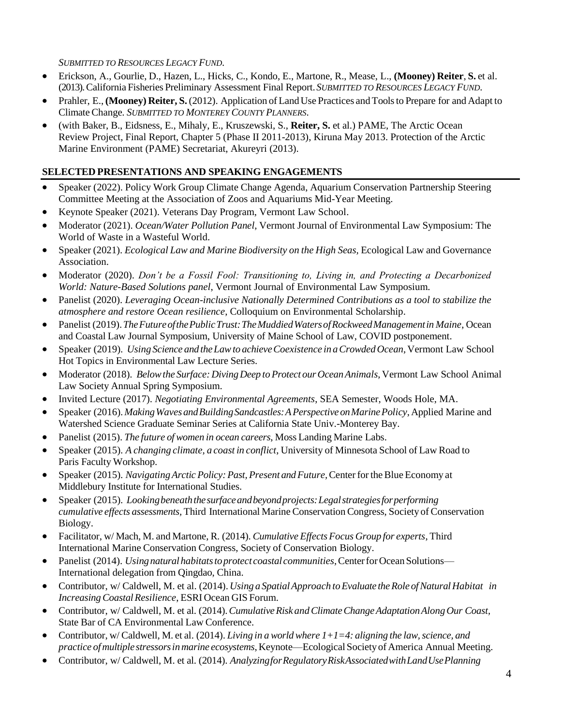### *SUBMITTED TO RESOURCES LEGACY FUND*.

- Erickson, A., Gourlie, D., Hazen, L., Hicks, C., Kondo, E., Martone, R., Mease, L., **(Mooney) Reiter**, **S.** et al. (2013). California Fisheries Preliminary Assessment Final Report.*SUBMITTED TO RESOURCES LEGACY FUND*.
- Prahler, E.,**(Mooney) Reiter, S.**(2012). Application of LandUse Practices and Toolsto Prepare for and Adapt to ClimateChange*. SUBMITTED TO MONTEREY COUNTY PLANNERS*.
- (with Baker, B., Eidsness, E., Mihaly, E., Kruszewski, S., **Reiter, S.** et al.) PAME, The Arctic Ocean Review Project, Final Report, Chapter 5 (Phase II 2011-2013), Kiruna May 2013. Protection of the Arctic Marine Environment (PAME) Secretariat, Akureyri (2013).

### **SELECTED PRESENTATIONS AND SPEAKING ENGAGEMENTS**

- Speaker (2022). Policy Work Group Climate Change Agenda, Aquarium Conservation Partnership Steering Committee Meeting at the Association of Zoos and Aquariums Mid-Year Meeting.
- Keynote Speaker (2021). Veterans Day Program, Vermont Law School.
- Moderator (2021). *Ocean/Water Pollution Panel*, Vermont Journal of Environmental Law Symposium: The World of Waste in a Wasteful World.
- Speaker (2021). *Ecological Law and Marine Biodiversity on the High Seas, Ecological Law and Governance* Association.
- Moderator (2020). *Don't be a Fossil Fool: Transitioning to, Living in, and Protecting a Decarbonized World: Nature-Based Solutions panel*, Vermont Journal of Environmental Law Symposium.
- Panelist (2020). *Leveraging Ocean-inclusive Nationally Determined Contributions as a tool to stabilize the atmosphere and restore Ocean resilience*, Colloquium on Environmental Scholarship.
- Panelist (2019).*TheFutureofthePublicTrust:TheMuddiedWatersofRockweedManagementin Maine*, Ocean and Coastal Law Journal Symposium, University of Maine School of Law, COVID postponement.
- Speaker (2019). *Using Science and theLawto achieveCoexistence in aCrowdedOcean*,Vermont Law School Hot Topics in Environmental Law Lecture Series.
- Moderator (2018). *Below the Surface: Diving Deep to Protect our Ocean Animals*, Vermont Law School Animal Law Society Annual Spring Symposium.
- Invited Lecture (2017). *Negotiating Environmental Agreements*, SEA Semester, Woods Hole, MA.
- Speaker (2016). *MakingWaves andBuildingSandcastles:APerspectiveonMarinePolicy*,Applied Marine and Watershed Science Graduate Seminar Series at California State Univ.-Monterey Bay.
- Panelist (2015). *The future of women in ocean careers*, Moss Landing Marine Labs.
- Speaker (2015). *A changing climate, a coast in conflict*, University of Minnesota School of Law Road to Paris Faculty Workshop.
- Speaker (2015). *Navigating Arctic Policy: Past, Present and Future, Center for the Blue Economy at* Middlebury Institute for International Studies.
- Speaker (2015). *Lookingbeneaththesurfaceandbeyondprojects:Legalstrategiesforperforming cumulative effects assessments,* Third International Marine ConservationCongress, Society of Conservation Biology.
- Facilitator, w/ Mach, M. and Martone, R. (2014). *Cumulative EffectsFocus Group for experts*, Third International Marine Conservation Congress, Society of Conservation Biology.
- Panelist (2014). *Usingnatural habitatstoprotect coastal communities*,CenterforOcean Solutions— International delegation from Qingdao, China.
- Contributor, w/ Caldwell, M. et al. (2014). *Using a Spatial Approach to Evaluate the Role of Natural Habitat in IncreasingCoastalResilience*, ESRI Ocean GIS Forum.
- Contributor, w/ Caldwell, M. et al. (2014). *Cumulative Risk and Climate Change Adaptation Along Our Coast,* State Bar of CA Environmental Law Conference.
- Contributor, w/ Caldwell, M. et al. (2014). *Living in a world where*  $1+1=4$ : *aligning the law, science, and practice ofmultiple stressorsinmarine ecosystems*,Keynote—Ecological Societyof America Annual Meeting.
- Contributor, w/ Caldwell, M. et al. (2014). *Analyzingfor Regulatory RiskAssociated with Land Use Planning*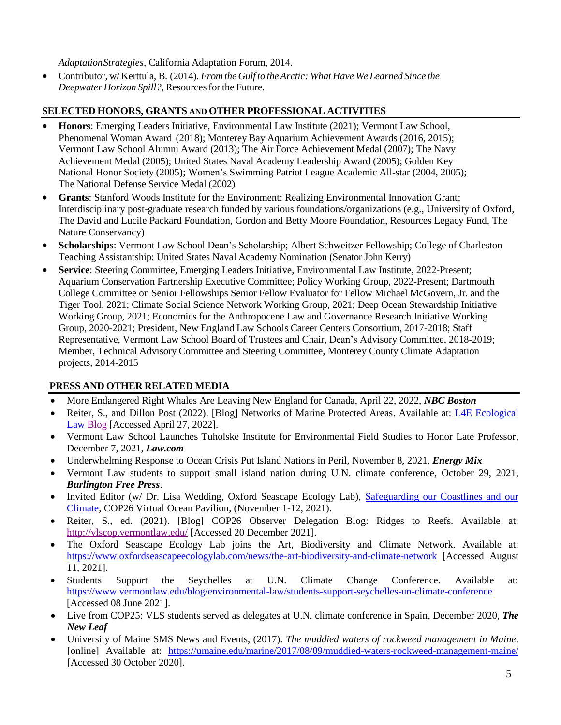*AdaptationStrategies,* California Adaptation Forum, 2014.

• Contributor, w/ Kerttula, B. (2014). *From the Gulf to theArctic: What Have We Learned Since the Deepwater Horizon Spill?*, Resources for the Future.

### **SELECTED HONORS, GRANTS AND OTHER PROFESSIONAL ACTIVITIES**

- **Honors**: Emerging Leaders Initiative, Environmental Law Institute (2021); Vermont Law School, Phenomenal Woman Award (2018); Monterey Bay Aquarium Achievement Awards (2016, 2015); Vermont Law School Alumni Award (2013); The Air Force Achievement Medal (2007); The Navy Achievement Medal (2005); United States Naval Academy Leadership Award (2005); Golden Key National Honor Society (2005); Women's Swimming Patriot League Academic All-star (2004, 2005); The National Defense Service Medal (2002)
- **Grants**: Stanford Woods Institute for the Environment: Realizing Environmental Innovation Grant; Interdisciplinary post-graduate research funded by various foundations/organizations (e.g., University of Oxford, The David and Lucile Packard Foundation, Gordon and Betty Moore Foundation, Resources Legacy Fund, The Nature Conservancy)
- **Scholarships**: Vermont Law School Dean's Scholarship; Albert Schweitzer Fellowship; College of Charleston Teaching Assistantship; United States Naval Academy Nomination (Senator John Kerry)
- **Service**: Steering Committee, Emerging Leaders Initiative, Environmental Law Institute, 2022-Present; Aquarium Conservation Partnership Executive Committee; Policy Working Group, 2022-Present; Dartmouth College Committee on Senior Fellowships Senior Fellow Evaluator for Fellow Michael McGovern, Jr. and the Tiger Tool, 2021; Climate Social Science Network Working Group, 2021; Deep Ocean Stewardship Initiative Working Group, 2021; Economics for the Anthropocene Law and Governance Research Initiative Working Group, 2020-2021; President, New England Law Schools Career Centers Consortium, 2017-2018; Staff Representative, Vermont Law School Board of Trustees and Chair, Dean's Advisory Committee, 2018-2019; Member, Technical Advisory Committee and Steering Committee, Monterey County Climate Adaptation projects, 2014-2015

## **PRESS AND OTHER RELATED MEDIA**

- More Endangered Right Whales Are Leaving New England for Canada, April 22, 2022, *NBC Boston*
- Reiter, S., and Dillon Post (2022). [Blog] Networks of Marine Protected Areas. Available at: [L4E](http://vlscop.vermontlaw.edu/) Ecological Law [Blog](https://www.l4ecozoic.org/l4e-ecological-law-blog) [Accessed April 27, 2022].
- Vermont Law School Launches Tuholske Institute for Environmental Field Studies to Honor Late Professor, December 7, 2021, *Law.com*
- Underwhelming Response to Ocean Crisis Put Island Nations in Peril, November 8, 2021, *Energy Mix*
- Vermont Law students to support small island nation during U.N. climate conference, October 29, 2021, *Burlington Free Press*.
- Invited Editor (w/ Dr. Lisa Wedding, Oxford Seascape Ecology Lab), Safeguarding our Coastlines and our [Climate,](https://www.youtube.com/watch?v=UX6XuyrO7z0) COP26 Virtual Ocean Pavilion, (November 1-12, 2021).
- Reiter, S., ed. (2021). [Blog] COP26 Observer Delegation Blog: Ridges to Reefs. Available at: <http://vlscop.vermontlaw.edu/> [Accessed 20 December 2021].
- The Oxford Seascape Ecology Lab joins the Art, Biodiversity and Climate Network. Available at: <https://www.oxfordseascapeecologylab.com/news/the-art-biodiversity-and-climate-network> [Accessed August 11, 2021].
- Students Support the Seychelles at U.N. Climate Change Conference. Available at: <https://www.vermontlaw.edu/blog/environmental-law/students-support-seychelles-un-climate-conference> [Accessed 08 June 2021].
- Live from COP25: VLS students served as delegates at U.N. climate conference in Spain, December 2020, *The New Leaf*
- University of Maine SMS News and Events, (2017). *The muddied waters of rockweed management in Maine*. [online] Available at: <https://umaine.edu/marine/2017/08/09/muddied-waters-rockweed-management-maine/> [Accessed 30 October 2020].